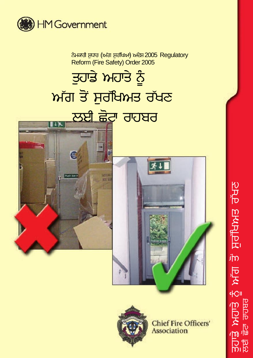

ਨੇਮਕਾਰੀ ਸੁਧਾਰ (ਅੱਗ ਸੁਰੱਖਿਆ) ਅਦੇਸ਼ 2005 Regulatory Reform (Fire Safety) Order 2005

## ਤੁਹਾਡੇ ਅਹਾਤੇ ਨੂੰ ਅੱਗ ਤੋਂ ਸਰੱਖਿਅਤ ਰੱਖਣ ਲਈ ਛੋਟਾ ਰਾਹਬਰ







**Chief Fire Officers' Association** 

<u>ਤਸਰ ਸਿਖਸੀ ਸਮ</u> **IPK**  $-C<sub>II</sub>$ ਤੁਹਾਡੇ ਅਹਾਤੇ :<br>ਕਈ ਛੋਟਾ ਰਾਬਰ **PRPIP**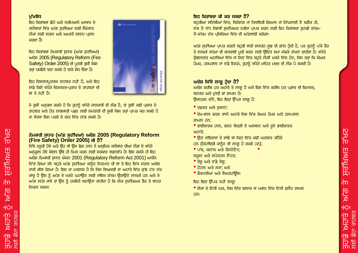#### ਮੱਖਬੰਧ

<u>ਇਹ ਕਿਤਾਬਜ਼ਾ ਛੋਟੇ ਅਤੇ ਦਰਮਿਆਨੇ ਆਕਾਰ ਦੇ </u> ਕਾਰੋਬਾਰਾਂ ਵਿੱਚ ਅੱਗ ਸਰੱਖਿਆ ਲਈ ਜਿੰਮੇਵਾਰ ਲੋਕਾਂ ਲਈ ਸਰਲ ਅਤੇ ਅਮਲੀ ਸਲਾਹ ਪਦਾਨ ਕਰਦਾ ਹੈ।

ਇਹ ਕਿਤਾਬਚਾ ਨੇਮਕਾਰੀ ਸੁਧਾਰ (ਅੱਗ ਸੁਰੱਖਿਆ) ਅਦੇਸ਼ 2005 (Regulatory Reform (Fire Safety) Order 2005) ਦੀ ਪੂਰਤੀ ਤੁਸੀਂ ਕਿਸ ਤਰ੍ਹਾਂ ਯਕੀਨੀ ਬਣਾ ਸਕਦੇ ਹੋ ਬਾਰੇ ਸੇਧ ਦਿੰਦਾ ਹੈ।

ਇਹ ਵਿਸਤਾਰਪੁਰਵਕ ਰਾਹਬਰ ਨਹੀਂ ਹੈ, ਅਤੇ ਇਹ ਸਾਡੇ ਕਿਸੇ ਵਧੇਰੇ ਵਿਸਤਰਤ-ਪ੍ਰਕਾਰ ਦੇ ਰਾਹਬਰਾਂ ਦੀ ਥਾਂ ਤੇ ਨਹੀਂ ਹੈ।

ਜੇ ਤੁਸੀਂ ਅਨੁਭਵ ਕਰਦੇ ਹੋ ਕਿ ਤੁਹਾਨੂੰ ਵਧੇਰੇ ਜਾਣਕਾਰੀ ਦੀ ਲੌੜ ਹੈ, ਤਾਂ ਤੁਸੀਂ ਕਈ ਪ੍ਰਕਾਰ ਦੇ ਰਾਹਬਰ ਅਤੇ ਹੋਰ ਲਾਭਕਾਰੀ ਪੜ੍ਹਨ ਲਈ ਸਮੱਗਰੀ ਦੀ ਸਚੀ ਕਿਸ ਤਰਾਂ ਪ੍ਰਾਪਤ ਕਰ ਸਕਦੇ ਹੋ ਦਾ ਵੇਰਵਾ ਇਸ ਪਰਜ਼ੇ ਦੇ ਅੰਤ ਵਿੱਚ ਲੱਭ ਸਕਦੇ ਹੋ।

## ਨੇਮਕਾਰੀ ਸਧਾਰ (ਅੱਗ ਸਰੱਖਿਆ) ਅਦੇਸ਼ 2005 (Regulatory Reform (Fire Safety) Order 2005) ਕੀ ਹੈ?

ਜਿੱਥੇ ਜਰੂਰੀ ਹੋਵੇ ਅਤੇ ਉਹ ਵੀ ਉਸ ਢੰਗ ਨਾਲ ਜੋ ਅਧੁਨਿਕ ਕਾਰੋਬਾਰ ਦੀਆਂ ਲੋੜਾਂ ਦੇ ਵਧੇਰੇ ਅਨਕਲ ਹੋਵੇ ਕੇਵਲ ਉਥੇ ਹੀ ਨੇਮਤ ਕਰਨ ਲਈ ਸਰਕਾਰ ਵਚਨਬੱਧ ਹੈ। ਇਸ ਕਰਕੇ ਹੀ ਇਹ ਅਦੇਸ਼ ਨੇਮਕਾਰੀ ਸਧਾਰ ਐਕਟ 2001 (Regulatory Reform Act 2001) ਅਧੀਨ ਦਿੱਤਾ ਗਿਆ ਸੀ। ਬਹੁਤੇ ਅੱਗ ਸਰੱਖਿਆ ਕਾਨੰਨ ਨਿਰਮਾਣ ਦੀ ਥਾਂ ਤੇ ਇਹ ਇੱਕ ਸਰਲ ਅਦੇਸ਼ ਜਾਰੀ ਕੀਤਾ ਗਿਆ ਹੈ। ਇਸ ਦਾ ਮਤਲਬ ਹੈ ਕਿ ਜਿਸ ਵਿਅਕਤੀ ਦਾ ਅਹਾਤੇ ਵਿੱਚ ਕੱਝ ਹੱਦ ਤੱਕ ਕਾਬ ਹੈ ਉਸ ਨੂੰ ਅੱਗ ਦੇ ਖ਼ਤਰੇ ਘਟਾਉਣ ਲਈ ਜਾਇਜ਼ ਕੱਦਮ ਉਠਾਉਣੇ ਲਾਜ਼ਮੀ ਹਨ ਅਤੇ ਜੇ ਅੱਗ ਲੱਗ ਜਾਵੇ ਤਾਂ ਉਸ ਨੂੰ ਯਕੀਨੀ ਬਣਾਉਣਾ ਚਾਹੀਦਾ ਹੈ ਕਿ ਲੋਕ ਸੁਰੱਖਿਅਤ ਤੌਰ ਤੇ ਬਾਹਰ ਨਿਕਲ ਸਕਣ।

## ਇਹ ਕਿਤਾਬਜ਼ਾ ਕੀ ਕਰ ਸਕਦਾ ਹੈ?

ਬਹਤੀਆਂ ਸਤਿੱਥੀਆਂ ਵਿੱਚ, ਵਿਸ਼ੇਸ਼ੱਗ ਜਾਂ ਰਿਵਾਇਤੀ ਗਿਆਨ ਜਾਂ ਸਿੱਖਲਾਈ ਤੋਂ ਬਗੈਰ ਹੀ, ਸੱਭ ਤੋਂ ਵੱਧ ਸੰਭਾਵੀ ਸਰੱਖਿਅਤ ਨਤੀਜਾ ਪ੍ਰਾਪਤ ਕਰਨ ਲਈ ਇਹ ਕਿਤਾਬਚਾ ਤਹਾਡੀ ਕੱਦਮ-ਤੋਂ-ਕੱਦਮ ਤੱਕ ਪਕਿਰਿਆ ਵਿੱਚ ਦੀ ਅੱਗਵਾਈ ਕਰੇਗਾ।

ਅੱਗ ਸੁਰੱਖਿਆ ਪ੍ਰਾਪਤ ਕਰਨੀ ਬਹੁਤੀ ਵਾਰੀ ਸਧਾਰਨ ਸੂਝ ਦੀ ਗੱਲ ਹੁੰਦੀ ਹੈ, ਪਰ ਤੁਹਾਨੂੰ ਪੱਕੇ ਤੌਰ ਤੇ ਲਾਜ਼ਮੀ ਕੱਦਮਾਂ ਦੀ ਕਾਰਵਾਈ ਪੂਰੀ ਕਰਨ ਲਈ ਉਚਿੱਤ ਸਮਾਂ ਕੱਢਕੇ ਰੱਖਣਾ ਚਾਹੀਦਾ ਹੈ। ਵਧੇਰੇ ਗੰਝਲਦਾਰ ਅਹਾਤਿਆਂ ਵਿੱਚ ਜਾਂ ਜਿਨ੍ਹਾਂ ਵਿੱਚ ਬਹੁਤੇ ਲੋਕੀਂ ਖ਼ਤਰੇ ਵਿੱਚ ਹੋਣ, ਜਿਸ ਤਰ੍ਹਾਂ ਕਿ ਕੇਅਰ ਹੋਮਜ਼, ਹਸਪਤਾਲ ਜਾਂ ਵੱਡੇ ਸਿਨਮੇ, ਤੁਹਾਨੂੰ ਵਧੇਰੇ ਮਾਹਿਰ ਮਦਦ ਦੀ ਲੋੜ ਪੈ ਸਕਦੀ ਹੈ।

## ਅਦੇਸ਼ ਕਿੱਥੇ ਲਾਗੂ ਹੁੰਦਾ ਹੈ?

ਅਦੇਸ਼ ਕਰੀਬ ਹਰ ਅਹਾਤੇ ਤੇ ਲਾਗੂ ਹੈ ਅਤੇ ਇਸ ਵਿੱਚ ਕਰੀਬ ਹਰ ਪ੍ਰਕਾਰ ਦੀ ਇਮਾਰਤ, ਬਣਤਰ ਅਤੇ ਖੱਲੀ ਥਾਂ ਸ਼ਾਮਲ ਹੈ।

ਉਦਾਹਰਨ ਵੱਜੋਂ, ਇਹ ਇਨ੍ਹਾਂ ਉੱਪਰ ਲਾਗ ਹੈ:

- ਦਫ਼ਤਰ ਅਤੇ ਦਕਾਨਾਂ;
- ਦੇਖ-ਭਾਲ ਕਰਨ ਵਾਲੇ ਅਹਾਤੇ ਜਿਸ ਵਿੱਚ ਕੇਅਰ ਹੋਮਜ ਅਤੇ ਹਸਪਤਾਲ ਸ਼ਾਮਲ ਹਨ:
- ਭਾਈਚਾਰਕ ਹਾਲ, ਭਜਨ ਬੰਦਗੀ ਦੇ ਅਸਥਾਨ ਅਤੇ ਦੂਜੇ ਭਾਈਚਾਰਕ ਅਹਾਤੇ:
- ਉਨਾਂ ਜਾਇਦਾਦਾਂ ਦੇ ਸਾਂਝੇ ਥਾਂ ਜਿਨਾਂ ਵਿੱਚ ਕਈ ਘਰਬਾਰ ਰਹਿੰਦੇ
- ਹਨ (ਰਿਹਾਇਸ਼ੀ ਕਾਨੂੰਨ ਵੀ ਲਾਗੂ ਹੋ ਸਕਦੇ ਹਨ);
- ਪੱਬ, ਕਲੱਬ ਅਤੇ ਰੈਸਟੋਰੈਂਟ; ਸਕੂਲ ਅਤੇ ਸਪੋਰਟਸ ਸੈਂਟਰ;
- ∙ ਤੈਬੂ ਅਤੇ ਵੱਡੇ ਤੈਬੂ;
- ਹੋਟਲ ਅਤੇ ਸਰਾਂ; ਅਤੇ
- ਫੈਕਟਰੀਆਂ ਅਤੇ ਵੈਅਰਹਾੳਸ।

ਇਹ ਇਨਾਂ ਉੱਪਰ ਨਹੀਂ ਲਾਗ:

● ਲੋਕਾਂ ਦੇ ਨਿੱਜੀ ਘਰ, ਜਿਸ ਵਿੱਚ ਬਲਾਕ ਜਾਂ ਮਕਾਨ ਵਿੱਚ ਨਿੱਜੀ ਫਲੈਟ ਸ਼ਾਮਲ ਹਨ।



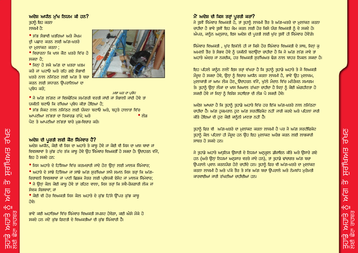# <u>ਤਸਰ ਸੁਪਸਪੁਸ</u> 血 모선 **c**<sub>IC</sub> <u>PRP</u> **EIDM**  $\sqrt{2}$ **R**<br>Rud

#### ਅਦੇਸ਼ ਅਧੀਨ ਮੱਖ ਨਿਯਮ ਕੀ ਹਨ? ਤਹਾਨੇ ਇਹ ਕਰਨਾ ਲਾਜਮੀ ਹੈ:

- ਸੱਭ ਸੈਭਾਵੀ ਖਤਰਿਆਂ ਅਤੇ ਜੋਖਮ ਦੀ ਪਛਾਣ ਕਰਨ ਲਈ ਅੱਗ-ਖ਼ਤਰੇ ਦਾ ਮਲਾਂਕਣ ਕਰਨਾ;
- ਵਿਚਾਰਨਾ ਕਿ ਖਾਸ ਕੋਣ ਖ਼ਤਰੇ ਵਿੱਚ ਹੋ ਸਕਦਾ ਹੈ:
- ਜਿਨਾਂ ਹੋ ਸਕੇ ਅੱਗ ਦਾ ਖ਼ਤਰਾ ਖ਼ਤਮ ਕਰੋ ਜਾਂ ਘਟਾਓ ਅਤੇ ਰਹਿ ਗਏ ਸੈਭਾਵੀ ਖ਼ਤਰੇ ਨਾਲ ਨਜਿੱਠਣ ਲਈ ਅੱਗ ਤੋ ਬਚਾ ਕਰਨ ਲਈ ਸਧਾਰਨ ਉਪਰਾਲਿਆਂ ਦਾ ਪ੍ਰਬੰਧ ਕਰੋ;



ਮੜਾ ਘਰ ਦਾ ਪ੍ਰਬੰਧ ● ਜੇ ਅੱਗ ਲੱਗਣ ਜਾਂ ਵਿਸਫੋਟਿਕ ਸਮੱਗਰੀ ਵਰਤੀ ਜਾਂਦੀ ਜਾਂ ਸੰਭਾਲੀ ਜਾਂਦੀ ਹੋਵੇ ਤਾਂ ਯਕੀਨੀ ਬਣਾਓ ਕਿ ਰੱਖਿਆ ਪਬੰਧ ਕੀਤਾ ਹੋਇਆ ਹੈ:

● ਸੱਭ ਸੈਕਟ ਨਾਲ ਨਜਿੱਠਣ ਲਈ ਯੋਜਨਾ ਬਣਾਓ ਅਤੇ, ਬਹੁਤੇ ਹਾਲਾਤਾਂ ਵਿੱਚ ਆਪਣੀਆਂ ਲੱਭਤਾਂ ਦਾ ਰਿਕਾਰਡ ਰੱਖੋ; ਅਤੇ • ਲੋਤ ਪੈਣ ਤੇ ਆਪਣੀਆਂ ਲੱਭਤਾਂ ਬਾਰੇ ਮੁੜ-ਵਿਚਾਰ ਕਰੋ।

## ਅਦੇਸ਼ ਦੀ ਪਰਤੀ ਲਈ ਕੋਣ ਜਿੰਮੇਵਾਰ ਹੈ?

ਅਦੇਸ਼ ਅਧੀਨ, ਕੋਈ ਵੀ ਜਿਸ ਦਾ ਅਹਾਤੇ ਤੇ ਕਾਬ ਹੋਵੇ ਜਾਂ ਕੋਈ ਵੀ ਜਿਸ ਦਾ ਖ਼ਾਸ ਥਾਵਾਂ ਜਾਂ ਵਿਵਸਥਾਵਾਂ ਤੇ ਕੁੱਝ ਹੱਦ ਤੱਕ ਕਾਬੂ ਹੋਵੇ ਉਹ ਜਿੰਮੇਵਾਰ ਵਿਅਕਤੀ ਹੋ ਸਕਦਾ ਹੈ। ਉਦਾਹਰਨ ਵੱਜੋਂ, ਇਹ ਹੋ ਸਕਦੇ ਹਨ:

● ਜਿਸ ਅਹਾਤੇ ਦੇ ਹਿੱਸਿਆ ਵਿੱਚ ਕਰਮਚਾਰੀ ਜਾਂਦੇ ਹੋਣ ਉਨ੍ਹਾਂ ਲਈ ਮਾਲਕ ਜਿੰਮੇਵਾਰ; ● ਅਹਾਤੇ ਦੇ ਸਾਂਝੇ ਹਿੱਸਿਆ ਜਾਂ ਸਾਂਝੇ ਅੱਗ ਸਰੱਖਿਆ ਸਾਜੋ ਸਮਾਨ ਜਿਸ ਤਰਾਂ ਕਿ ਅੱਗ-ਚਿਤਾਵਨੀ ਵਿਵਸਥਾਵਾਂ ਜਾਂ ਪਾਣੀ ਛਿੜਕ ਜੰਤਰ ਲਈ ਪਬੰਧਕੀ ਏਜੰਟ ਜਾਂ ਮਾਲਕ ਜਿੰਮੇਵਾਰ; ● ਜੇ ਉਨ੍ਹਾਂ ਕੋਲ ਕੋਈ ਕਾਬ ਹੋਵੇ ਤਾਂ ਰਹਿਣ ਵਾਲਾ, ਜਿਸ ਤਰ੍ਹਾਂ ਕਿ ਸਵੈ-ਰੋਜ਼ਗਾਰੀ ਲੋਕ ਜਾਂ ਸੇਵਕ ਸੈਸ਼ਥਾਵਾਂ; ਜਾਂ

● ਕੋਈ ਵੀ ਹੋਰ ਵਿਅਕਤੀ ਜਿਸ ਕੋਲ ਅਹਾਤੇ ਦੇ ਕੱਝ ਹਿੱਸੇ ਉੱਪਰ ਕੱਝ ਕਾਬ ਹੋਵੇ।

ਭਾਵੇਂ ਕਈ ਅਹਾਤਿਆਂ ਵਿੱਚ ਜਿੰਮੇਵਾਰ ਵਿਅਕਤੀ ਸਪਸ਼ਟ ਹੋਵੇਗਾ. ਕਈ ਐਸੇ ਮੌਕੇ ਹੋ ਸਕਦੇ ਹਨ ਜਦੋਂ ਕੱਝ ਗਿਣਤੀ ਦੇ ਵਿਅਕਤੀਆਂ ਦੀ ਕੱਝ ਜਿੰਮੇਵਾਰੀ ਹੈ।

## ਮੈਂ ਅਦੇਸ਼ ਦੀ ਕਿਸ ਤਰ੍ਹਾਂ ਪੂਰਤੀ ਕਰਾਂ?

ਜੇ ਤੁਸੀਂ ਜਿਮੇਵਾਰ ਵਿਅਕਤੀ ਹੋ, ਤਾਂ ਤੁਹਾਨੂੰ ਲਾਜ਼ਮੀ ਤੌਰ ਤੇ ਅੱਗ-ਖ਼ਤਰੇ ਦਾ ਮਲਾਂਕਣ ਕਰਨਾ ਚਾਹੀਦਾ ਹੈ ਭਾਵੇ ਤਸੀਂ ਇਹ ਕੰਮ ਕਰਨ ਲਈ ਹੋਰ ਕਿਸੇ ਯੋਗ ਵਿਅਕਤੀ ਨੂੰ ਦੇ ਸਕਦੇ ਹੋ। ਐਪਰ, ਕਾਨੂੰਨ ਅਨੁਸਾਰ, ਇਸ ਅਦੇਸ਼ ਦੀ ਪੂਰਤੀ ਲਈ ਖੁੱਦ ਤੁਸੀਂ ਹੀ ਜਿੰਮੇਵਾਰ ਹੋਵੇਂਗੇ।

ਜਿੰਮੇਵਾਰ ਵਿਅਕਤੀ , ਖੱਦ ਇਕੱਲੇ ਹੀ ਜਾਂ ਕਿਸੇ ਹੋਰ ਜਿੰਮੇਵਾਰ ਵਿਅਕਤੀ ਦੇ ਸਾਥ, ਜਿਨਾਂ ਕ ਅਮਲੀ ਤੌਰ ਤੇ ਸੰਭਵ ਹੋਵੇ ਨੂੰ ਯਕੀਨੀ ਬਣਾਉਣਾ ਚਾਹੀਦਾ ਹੈ ਕਿ ਜੇ ਅੱਗ ਲੱਗ ਜਾਵੇ ਤਾਂ ਅਹਾਤੇ ਅੰਦਰ ਜਾਂ ਨਜ਼ਦੀਕ, ਹਰ ਵਿਅਕਤੀ ਸਰੱਖਿਅਤ ਢੰਗ ਨਾਲ ਬਾਹਰ ਨਿਕਲ ਸਕਦਾ ਹੈ।

ਇਹ ਪਹਿਲੇ ਕਾਨੂੰਨ ਨਾਲੋਂ ਇਸ ਤਰ੍ਹਾਂ ਵੱਖਰਾ ਹੈ ਕਿ ਤੁਹਾਨੂੰ ਤੁਹਾਡੇ ਅਹਾਤੇ ਤੇ ਜੋ ਵਿਅਕਤੀ ਮੌਜਦ ਹੋ ਸਕਦਾ ਹੋਵੇ, ਉਨ੍ਹਾਂ ਨੂੰ ਵਿਚਾਰ ਅਧੀਨ ਕਰਨਾ ਲਾਜ਼ਮੀ ਹੈ, ਭਾਵੇਂ ਉਹ ਮਲਾਜ਼ਮ, ਮਲਾਕਾਤੀ ਜਾਂ ਆਮ ਲੋਕ ਹੋਣ, ਉਦਾਹਰਨ ਵੱਜੋਂ, ਖੱਲੇ ਮੈਦਾਨ ਵਿੱਚ ਮਨੋਰੰਜਨ ਸਮਾਗਮ ਤੇ। ਤੁਹਾਨੂੰ ਉਨ੍ਹਾਂ ਲੋਕਾਂ ਦਾ ਖ਼ਾਸ ਖਿਆਲ ਰੱਖਣਾ ਚਾਹੀਦਾ ਹੈ ਜਿਨ੍ਹਾਂ ਨੂੰ ਕੋਈ ਅੰਗਹੀਣਤਾ ਹੋ ਸਕਦੀ ਹੋਵੇ ਜਾਂ ਜਿਨ੍ਹਾਂ ਨੂੰ ਵਿਸ਼ੇਸ਼ ਸਹਾਇਤਾ ਦੀ ਲੋੜ ਪੈ ਸਕਦੀ ਹੋਵੇ।

ਅਦੇਸ਼ ਆਖਦਾ ਹੈ ਕਿ ਤੁਹਾਨੂੰ ਤੁਹਾਡੇ ਅਹਾਤੇ ਵਿੱਚ ਹਰ ਇੱਕ ਅੱਗ-ਖ਼ਤਰੇ ਨਾਲ ਨਜਿੱਠਣਾ ਚਾਹੀਦਾ ਹੈ। ਅੱਗ ਹਕਮਰਾਨ ਹੁਣ ਅੱਗ ਸਰਟੀਫਿਕੇਟ ਨਹੀਂ ਜਾਰੀ ਕਰਦੇ ਅਤੇ ਪਹਿਲਾਂ ਜਾਰੀ ਕੀਤੇ ਹੋਇਆਂ ਦੀ ਹੁਣ ਕੋਈ ਕਾਨੂੰਨੀ ਮਾਣਤਾ ਨਹੀਂ ਹੈ।

ਤਹਾਨੂੰ ਫਿਰ ਵੀ ਅੱਗ-ਖ਼ਤਰੇ ਦਾ ਮਲਾਂਕਣ ਕਰਨਾ ਲਾਜ਼ਮੀ ਹੈ ਪਰ ਜੋ ਅੱਗ ਸਰਟੀਫਿਕੇਟ ਤਹਾਨੂੰ ਕੋਲ ਪਹਿਲਾਂ ਹੀ ਮੌਜੂਦ ਹਨ ਉਹ ਇਹ ਮਲਾਂਕਣ ਅਰੰਭ ਕਰਨ ਲਈ ਲਾਭਕਾਰੀ ਸਾਬਤ ਹੋ ਸਕਦੇ ਹਨ।

ਜੇ ਤੁਹਾਡੇ ਅਹਾਤੇ ਅਧੁਨਿਕ ਉਸਾਰੀ ਦੇ ਨਿਯਮਾਂ ਅਨੁਕੂਲ ਡੀਜ਼ਾਇਨ ਕੀਤੇ ਅਤੇ ਉਸਾਰੇ ਗਏ ਹਨ (ਅਤੇ ਉਨ੍ਹਾਂ ਨਿਯਮਾਂ ਅਨੁਸਾਰ ਵਰਤੇ ਜਾਂਦੇ ਹਨ), ਤਾਂ ਤੁਹਾਡੇ ਢਾਂਚਾਗਤ ਅੱਗ ਬਚਾ ਉਪਰਾਲੇ ਪ੍ਰਵਾਨ ਕਰਨਯੋਗ ਹੋਣੇ ਚਾਹੀਦੇ ਹਨ। ਤੁਹਾਨੂੰ ਫਿਰ ਵੀ ਅੱਗ-ਖ਼ਤਰੇ ਦਾ ਮੁਲਾਂਕਣ ਕਰਨਾ ਲਾਜ਼ਮੀ ਹੈ ਅਤੇ ਪੱਕੇ ਤੌਰ ਤੇ ਸੱਭ ਅੱਗ ਬਚਾ ਉਪਰਾਲੇ ਅਤੇ ਨੇਮਬੱਧ ਮੁਰੰਮਤੀ ਕਾਰਵਾਈਆਂ ਜਾਰੀ ਰੱਖਣੀਆਂ ਚਾਹੀਦੀਆਂ ਹਨ।

ਰੱਖਣ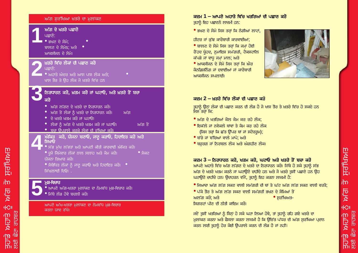| ਅੱਗ ਸੁਰੱਖਿਆ ਖ਼ਤਰੇ ਦਾ ਮੁਲਾਂਕਣ                                                                                                                                                                                                                                                      |
|-----------------------------------------------------------------------------------------------------------------------------------------------------------------------------------------------------------------------------------------------------------------------------------|
| ਅੱਗ ਦੇ ਖਤਰੇ ਪਛਾਣੋ<br>ਪਛਾਣੋ:<br>● ਭਖਣ ਦੇ ਸੋਮੇ;<br>ਬਾਲਣ ਦੇ ਸੋਮੇs; ਅ <u>ਤੇ</u><br>ਆਕਸੀਜਨ ਦੇ ਸੋਮੇ।                                                                                                                                                                                    |
| ਖ਼ਤਰੇ ਵਿੱਚ ਲੋਕਾਂ ਦੀ ਪਛਾਣ ਕਰੋ<br>ਪਛਾਣੋ:<br><u>• ਅਹਾਤੇ ਅੰਦਰ ਅਤੇ ਆਸ ਪਾਸ ਲੋਕ ਅਤੇ;</u><br>ਖਾਸ ਤੌਰ ਤੇ ਉਹ ਲੋਕ ਜੋ ਖ਼ਤਰੇ ਵਿੱਚ ਹਨ                                                                                                                                                           |
| ਨਿਰਧਾਰਨ ਕਰੋ, ਖ਼ਤਮ ਕਰੋ ਜਾਂ ਘਟਾਓ, ਅਤੇ ਖ਼ਤਰੇ ਤੋਂ ਬਚਾ<br>ਕਰੋ<br>● ਅੱਗ ਲੱਗਣ ਦੇ ਖਤਰੇ ਦਾ ਨਿਰਧਾਰਨ ਕਰੋ।<br>● ਅੱਗ ਤੋਂ ਲੋਕਾਂ ਨੂੰ ਖਤਰੇ ਦਾ ਨਿਰਧਾਰਨ ਕਰੋ।     ਅੱਗ<br>● ਦੇ ਖਤਰੇ ਖਤਮ ਕਰੋ ਜਾਂ ਘਟਾਓ।<br>● ਲੋਕਾਂ ਨੰ ਅੱਗ ਦੇ ਖਤਰੇ ਖਤਮ ਕਰੋ ਜਾਂ ਘਟਾਓ।<br>ਅੱਗ ਤੋਂ<br>● ਬਚਾ ੳਪਰਾਲੇ ਕਰਕੇ ਲੋਕਾਂ ਦੀ ਰੱਖਿਆ ਕਰੋ। |
| ਅੰਕਿਤੁ ਕਰੋ, ਯੋਜਨਾ ਬਣਾਓ, ਜਾਣੂ ਕਰਾਓ, ਹਿਦਾਇਤ ਕਰੋ ਅਤੇ<br>ਸਿਖਾਓ<br>• ਸੱਭ ਮੁੱਖ ਲੱਭਤਾਂ ਅਤੇ ਆਪਣੀ ਕੀਤੀ ਕਾਰਵਾਈ ਅੰਕਿਤ ਕਰੋ।<br>● ਦੂਜੇ ਜਿਮੇਵਾਰ ਲੋਕਾਂ ਨਾਲ ਸਲਾਹ ਅਤੇ ਕੈਮ ਕਰੋ।<br>$\bullet$ ਸੈਕਟ<br>ਯੋਜਨਾ ਤਿਆਰ ਕਰੋ।<br>● ਸੰਬੰਧਿਤ ਲੋਕਾਂ ਨੂੰ ਜਾਣੂ ਕਰਾਓ ਅਤੇ ਹਿਦਾਇਤ ਕਰੋ।  ●<br>ਸਿੱਖਲਾਈ ਦਿਓ। .          |
| ਮੁੜ-ਵਿਚਾਰ<br><u>● ਆਪਣੇ ਅੱਗ-ਖਤਰਾ ਮੁ</u> ਲਾਂਕਣ ਦਾ ਨੇਮਬੱਧ ਮੁੜ-ਵਿਚਾਰ ਕਰੋ।<br>• ਜਿੱਥੇ ਲੋੜ ਹੋਵੇ ਬਦਲੀ ਕਰੋ।                                                                                                                                                                               |
| ਆਪਣੇ ਅੱਖ-ਖਤਰਾ ਮੁਲਾਂਕਣ ਦਾ ਨੇਮਬੱਧ ਮੁੜ-ਵਿਚਾਰ<br>ਕਰਨਾ ਯਾਦ ਰੱਖੋ।                                                                                                                                                                                                                       |

#### ਕਦਮ 1 – ਆਪਣੇ ਅਹਾਤੇ ਵਿੱਚ ਖਤਰਿਆਂ ਦੀ ਪਛਾਣ ਕਰੋ ਤਹਾਨੂੰ ਇਹ ਪਛਾਣਨੇ ਲਾਜ਼ਮੀ ਹਨ:

● ਭਖਣ ਦੇ ਸੋਮੇ ਜਿਸ ਤਰਾਂ ਕਿ ਨੰਗੀਆਂ ਲਾਟਾਂ,

ਹੀਟਰ ਜਾਂ ਕੁੱਝ ਕਾਰੋਬਾਰੀ ਕਾਰਵਾਈਆਂ;

● ਬਾਲਣ ਦੇ ਸੋਮੇ ਜਿਸ ਤਰਾਂ ਕਿ ਜਮਾਂ ਹੋਈ ਰੈਂਹਦ ਖੰਹਦ, ਨਮਾਇਸ਼ ਸਮੱਗਰੀ, ਟੈਕਸਟਾਲਿ ਕੱਪੜੇ ਜਾਂ ਵਾਧੂ ਜਮ੍ਹਾਂ ਮਾਲ; ਅਤੇ

● ਆਕਸੀਜਨ ਦੇ ਸੋਮੇ ਜਿਸ ਤਰਾਂ ਕਿ ਐਰ ਕੈਨਡਿਸ਼ਨਿੰਗ ਜਾਂ ਦਵਾਈਆਂ ਜਾਂ ਕਾਰੋਬਾਰੀ ਆਕਸੀਜਨ ਸਪਲਾਈ।



## ਕਦਮ 2 – ਖਤਰੇ ਵਿੱਚ ਲੋਕਾਂ ਦੀ ਪਛਾਣ ਕਰੋ

ਤਹਾਨੂੰ ਉਨ੍ਹਾਂ ਲੋਕਾਂ ਦੀ ਪਛਾਣ ਕਰਨ ਦੀ ਲੋੜ ਹੈ ਜੋ ਖਾਸ ਤੌਰ ਤੇ ਖ਼ਤਰੇ ਵਿੱਚ ਹੋ ਸਕਦੇ ਹਨ ਜਿਸ ਤਰਾਂ ਕਿ:

- ਅੱਗ ਦੇ ਖਤਰਿਆਂ ਕੋਲ ਕੈਮ ਕਰ ਰਹੇ ਲੋਕ;
- ਇਕੱਲੇ ਜਾਂ ਨਵੇਕਲੇ ਥਾਂਵਾਂ ਤੇ ਕੰਮ ਕਰ ਰਹੇ ਲੋਕ (ਜਿਸ ਤਰਾਂ ਕਿ ਛੱਤ ਉੱਪਰ ਥਾਂ ਜਾਂ ਸਟੋਰਰਮ);
- ਬੱਚੇ ਜਾਂ ਬੱਚਿਆਂ ਵਾਲੇ ਮਾਪੇ: ਅਤੇ
- ਬਜ਼ਰਗ ਜਾਂ ਨਿਰਬਲ ਲੋਕ ਅਤੇ ਅੰਗਹੀਣ ਲੋਕ।

## ਕਦਮ 3 – ਨਿਰਧਾਰਨ ਕਰੋ, ਖਤਮ ਕਰੋ, ਘਟਾਓ ਅਤੇ ਖਤਰੇ ਤੋਂ ਬਚਾ ਕਰੋ

ਆਪਣੇ ਅਹਾਤੇ ਵਿੱਚ ਅੱਗ ਲੱਗਣ ਦੇ ਖਤਰੇ ਦਾ ਨਿਰਧਾਰਨ ਕਰੋ। ਜਿੱਥੇ ਹੋ ਸਕੇ ਤਹਾਨੂੰ ਸੱਭ ਅੱਗ ਦੇ ਖਤਰੇ ਖਤਮ ਕਰਨੇ ਜਾਂ ਘਟਾਉਣੇ ਚਾਹੀਦੇ ਹਨ ਅਤੇ ਜੋ ਖ਼ਤਰੇ ਤਸੀਂ ਪਛਾਣੇ ਹਨ ਉਹ ਘਟਾਉਣੇ ਚਾਹੀਦੇ ਹਨ। ਉਦਾਹਰਨ ਵੱਜੋਂ, ਤੁਹਾਨੂੰ ਇਹ ਕਰਨਾ ਲਾਜ਼ਮੀ ਹੈ:

● ਜਿਆਦਾ ਅੱਗ ਲੱਗ ਸਕਣ ਵਾਲੀ ਸਮੱਗਰੀ ਦੀ ਥਾਂ ਤੇ ਘੱਟ ਅੱਗ ਲੱਗ ਸਕਣ ਵਾਲੀ ਵਰਤੋ:

● ਪੱਕੇ ਤੌਰ ਤੇ ਅੱਗ ਲੱਗ ਸਕਣ ਵਾਲੀ ਸਮੱਗਰੀ ਭਖਣ ਦੇ ਸੋਮਿਆਂ ਤੋਂ ਅਲੱਗ ਕਰੋ: ਅਤੇ  $\bullet$  ਸਰੱਖਿਅਤ-ਸਿਗਰਟਾਂ ਪੀਣ ਦੀ ਨੀਤੀ ਕਾਇਮ ਕਰੋ।

ਜਦੋਂ ਤੁਸੀਂ ਖਤਰਿਆਂ ਨੂੰ ਜਿਨ੍ਹਾਂ ਹੋ ਸਕੇ ਘਟਾ ਲਿਆ ਹੋਵੇ, ਤਾਂ ਤੁਹਾਨੂੰ ਰਹਿ ਗਏ ਖਤਰੇ ਦਾ ਮਲਾਂਕਣ ਕਰਨਾ ਅਤੇ ਫੈਸਲਾ ਕਰਨਾ ਲਾਜ਼ਮੀ ਹੈ ਕਿ ਉਚਿੱਤ ਪੱਧਰ ਦੀ ਅੱਗ ਸਰੱਖਿਆ ਪ੍ਰਦਾਨ ਕਰਨ ਲਈ ਤੁਹਾਨੂੰ ਹੋਰ ਕੋਈ ਉਪਰਾਲੇ ਕਰਨ ਦੀ ਲੋੜ ਹੈ ਜਾਂ ਨਹੀਂ।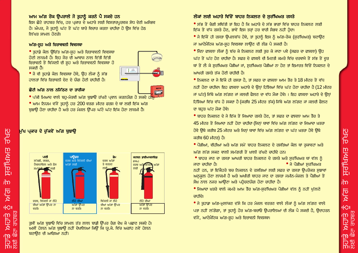## <u>ਨਸ਼ਰ ਸਿਖਸਤੀ ਜ</u> 而 모선  $-CII$ **PRD EIDK** ΙĐ  $\frac{1}{\sqrt{10}}$ **R**<br>Rud

## ਆਮ ਅੱਗ ਰੋਕ ਉਪਰਾਲੇ ਜੋ ਤਹਾਨੂੰ ਕਰਨੇ ਪੈ ਸਕਦੇ ਹਨ

.<br>ਇਸ ਛੋਟੇ ਰਾਹਬਰ ਵਿੱਚ. ਹਰ ਪਕਾਰ ਦੇ ਅਹਾਤੇ ਲਈ ਵਿਸਤਾਰਪਰਵਕ ਸੇਧ ਦੇਣੀ ਅਸੰਭਵ ਹੈ। ਐਪਰ, ਜੋ ਤਹਾਨੂੰ ਘੱਟ ਤੋਂ ਘੱਟ ਬਾਰੇ ਵਿਚਾਰ ਕਰਨਾ ਚਾਹੀਦਾ ਹੋ ਉਸ ਵਿੱਚ ਹੇਠ ਲਿੱਖਤ ਸਾਮਲ ਹੋਣਗੇ।

#### ਅੱਗ-ਸਹ ਅਤੇ ਚਿਤਾਵਵਨੀ ਵਿਵਸਥਾ

● ਤਹਾਡੇ ਕੋਲ ੳਿਚੱਤ ਅੱਗ-ਸਹ ਅਤੇ ਚਿਤਾਵਵਨੀ ਵਿਵਸਥਾ ਹੋਣੀ ਲਾਜ਼ਮੀ ਹੈ। ਇਹ ਜੋਰ ਦੀ ਆਵਾਜ਼ ਨਾਲ ਦਿੱਤੀ ਦਿੱਤੀ ਚਿਤਾਵਨੀ ਤੋਂ ਬਿੱਜਲੀ ਦੀ ਸਹ ਅਤੇ ਚਿਤਾਵਵਨੀ ਵਿਵਸਥਾ ਹੋ ਸਕਦੀ ਹੈ।



#### ਛੋਟੀ ਅੱਗ ਨਾਲ ਨਜਿੱਨਣ ਦਾ ਤਾਰੀਕਾ

1.88

**SHE** 

● ਆਮ ਨਿਯਮ ਵੱਜੋਂ ਤਹਾਨੂੰ ਹਰ 200 ਵਰਗ ਮੀਟਰ ਫਰਸ਼ ਦੇ ਥਾਂ ਲਈ ਇੱਕ ਅੱਗ ਬਝਾੳ ਹੋਣਾ ਚਾਹੀਦਾ ਹੈ ਅਤੇ ਹਰ ਮੰਜ਼ਲ ਉੱਪਰ ਘੱਟੋ ਘੱਟ ਇੱਕ ਹੋਣਾ ਲਾਜ਼ਮੀ ਹੈ।

## ਮੁੱਖ ਪ੍ਰਕਾਰ ਦੇ ਚੁੱਕਵੇਂ ਅੱਗ ਬੁਝਾਉ



ਤਸੀਂ ਅੱਗ ਬਝਾਓ ਵਿੱਚ ਸ਼ਾਮਲ ਤੱਤ ਲਾਲ ਬਾਡੀ ਉੱਪਰ ਰੈਗ ਦੇਖ ਕੇ ਪਛਾਣ ਸਕਦੇ ਹੋ। ਅਸੀਂ ਹੇਲਨ ਅੱਗ ਬਝਾਓੇ ਨਹੀਂ ਦੇਖਾਲਿਆ ਕਿਉਂ ਕਿ ਯੂ.ਕੇ. ਵਿੱਚ ਅਗਾਂਹ ਨਵੇਂ ਹੇਲਨ ਬਣਾਉਣ ਦੀ ਆਗਿਆ ਨਹੀਂ।

## ਲੋਕਾਂ ਲਈ ਅਹਾਤੇ ਵਿੱਚੋਂ ਬਾਹਰ ਨਿਕਲਣ ਦੇ ਸਰੱਖਿਅਤ ਰਸਤੇ

● ਸੱਭ ਤੋਂ ਜ਼ੈਗੀ ਸਥਿੱਤੀ ਤਾਂ ਇਹ ਹੈ ਕਿ ਅਹਾਤੇ ਦੇ ਸੱਭ ਭਾਗਾਂ ਵਿੱਚ ਬਾਹਰ ਨਿਕਲਣ ਲਈ ਇੱਕ ਤੋਂ ਵੱਧ ਰਸਤੇ ਹੋਣ, ਭਾਵੇਂ ਇਸ ਤਰਾਂ ਹਰ ਵਾਰੀ ਸੰਭਵ ਨਹੀਂ ਹੈਦਾ।

•ੇ ਜੇ ਇੱਕੋਂ ਹੀ ਰਸਤਾ ਉਪਲਬੱਧ ਹੋਵੇ, ਤਾਂ ਤੁਹਾਨੂੰ ਇਸ ਨੂੰ ਅੱਗ-ਰੋਕ (ਸੁਰੱਖਿਅਤ) ਬਣਾਉਣ ਜਾਂ ਆਟੋਮੈਟਿਕ ਅੱਗ-ਸਹ ਵਿਵਸਥਾ ਲਾਉਣ ਦੀ ਲੋੜ ਪੈ ਸਕਦੀ ਹੈ।

- ਜਿਨਾ ਫਾਸਲਾ ਲੋਕਾਂ ਨੂੰ ਬੱਚ ਕੇ ਨਿਕਲਣ ਲਈ ਤਰ ਕੇ ਜਾਣਾ ਪਵੇ (ਸਫ਼ਰ ਦਾ ਫਾਸਲਾ) ਉਹ ਘੱਟ ਤੋਂ ਘੱਟ ਹੋਣ ਚਾਹੀਦਾ ਹੈ। ਸਫ਼ਰ ਦੇ ਫਾਸਲੇ ਦੀ ਮਿਣਤੀ ਕਮਰੇ ਵਿੱਚ ਦਰਵਾਜੇ ਤੋਂ ਸੱਭ ਤੋਂ ਦਰ ਥਾਂ ਤੋਂ ਲੈ ਕੇ ਸੁਰੱਖਿਅਤ ਪੌੜੀਆਂ ਜਾਂ, ਸੁਰੱਖਿਅਤ ਪੌੜੀਆਂ ਨਾ ਹੋਣ ਤਾਂ ਇਮਾਰਤ ਵਿੱਚੋਂ ਨਿਕਲਣ ਦੇ ਆਖਰੀ ਰਸਤੇ ਤੱਕ ਹੋਣੀ ਚਾਹੀਦੀ ਹੈ।
- ਨਿਕਲਣ ਦਾ ਜੇ ਇੱਕੋ ਹੀ ਰਸਤਾ ਹੈ. ਤਾਂ ਸਫਰ ਦਾ ਫਾਸਲਾ ਆਮ ਤੌਰ ਤੇ 18 ਮੀਟਰ ਤੋਂ ਵੱਧ ਨਹੀਂ ਹੋਣਾ ਚਾਹੀਦਾ। ਇਹ ਫਾਸਲਾ ਅਹਾਤੇ ਦੇ ਉਨ੍ਹਾਂ ਹਿੱਸਿਆਂ ਵਿੱਚ ਘੱਟ ਹੋਣਾ ਚਾਹੀਦਾ ਹੈ (12 ਮੀਟਰ ਜਾਂ ਘੱਟ) ਜਿੱਥੇ ਅੱਗ ਲੱਗਣ ਜਾਂ ਜਲਦੀ ਫੈਲਣ ਦਾ ਵੱਧ ਮੌਕਾ ਹੋਵੇ। । ਇਹ ਫਾਸਲਾ ਅਹਾਤੇ ਦੇ ਉਨ੍ਹਾਂ ਹਿੱਸਿਆਂ ਵਿੱਚ ਵੱਧ ਹੋ ਸਕਦਾ ਹੈ (ਕਰਬਿ 25 ਮੀਟਰ ਤੱਕ) ਜਿੱਥੇ ਅੱਗ ਲੱਗਣ ਜਾਂ ਜਲਦੀ ਫੈਲਣ ਦਾ ਬਹੁਤ ਘੱਟ ਮੌਕਾ ਹੋਵੇ।

● ਬਾਹਰ ਨਿਕਲਣ ਦੇ ਜੇ ਇੱਕ ਤੋਂ ਜਿਆਦਾ ਰਸਤੇ ਹੋਣ, ਤਾਂ ਸਫ਼ਰ ਦਾ ਫਾਸਲਾ ਆਮ ਤੌਰ ਤੇ 45 ਮੀਟਰ ਤੋਂ ਜਿਆਦਾ ਨਹੀਂ ਹੋਣਾ ਚਾਹੀਦਾ (ਜਿਨ੍ਹਾਂ ਥਾਵਾਂ ਵਿੱਚ ਅੱਗ ਲੱਗਣ ਦਾ ਜਿਆਦਾ ਖ਼ਤਰਾ ਹੋਵੇ ਉਥੇ ਕਰੀਬ 25 ਮੀਟਰ ਅਤੇ ਜਿਨ੍ਹਾਂ ਥਾਵਾਂ ਵਿੱਚ ਅੱਗ ਲੱਗਣ ਦਾ ਘੱਟ ਖ਼ਤਰਾ ਹੋਵੇ ਉਥੇ ਕਰੀਬ 60 ਮੀਟਰ) ਹੈ।

● ਪੌੜੀਆਂ, ਵੀਹੀਆਂ ਅਤੇ ਅੱਗ ਸਮੇਂ ਬਾਹਰ ਨਿਕਲਣ ਦੇ ਰਸਤਿਆਂ ਕੋਲ ਥਾਂ ਰਕਾਵਟਾਂ ਅਤੇ ਅੱਗ ਲੱਗ ਸਕਣ ਵਾਲੀ ਸਮੱਗਰੀ ਤੋਂ ਖ਼ਾਲੀ ਰੱਖਣੇ ਚਾਹੀਦੇ ਹਨ।

● ਬਾਹਰ ਜਾਣ ਦਾ ਰਸਤਾ ਆਖਰੀ ਬਾਹਰ ਨਿਕਲਣ ਦੇ ਰਸਤੇ ਅਤੇ ਸਰੱਖਿਅਤ ਥਾਂ ਵੱਲ ਨੂੰ ● ਜੇ ਪੌੜੀਆਂ ਸੁਰੱਖਿਅਤ ਜਾਣਾ ਚਾਹੀਦਾ ਹੈ।

ਨਹੀਂ ਹਨ, ਤਾਂ ਇੱਕੈਹਰੇ ਬਚ ਨਿਕਲਨ ਦੇ ਰਸਤਿਆਂ ਲਈ ਸਫ਼ਰ ਦਾ ਰਸਤਾ ਉਪਰੋਕਤ ਸਝਾਵਾਂ ਅਨਕਲ ਹੋਣਾ ਲਾਜ਼ਮੀ ਹੈ ਅਤੇ ਅਖੀਰੀ ਬਾਹਰ ਜਾਣ ਦਾ ਰਸਤਾ ਜਮੀਨ-ਮੰਜ਼ਲ ਤੇ ਪੌੜੀਆਂ ਤੋਂ ਸੋਖ਼ ਨਾਲ ਨਜ਼ਰ ਆੳਣਾ ਅਤੇ ਪਹੈਚਣਯੋਗ ਹੋਣਾ ਚਾਹੀਦਾ ਹੈ।

● ਜਿਆਦਾ ਖ਼ਤਰੇ ਵਾਲੇ ਕਮਰੇ ਆਮ ਤੌਰ ਅੱਗ-ਸੁਰੱਖਿਅਤ ਪੌੜੀਆਂ ਵੱਲ ਨੂੰ ਨਹੀਂ ਖੁੱਲਣੇ ਜਾਹੀਦੇ।

● ਜੇ ਤੁਹਾਡਾ ਅੱਗ-ਮੁਲਾਂਕਣ ਦੱਸੇ ਕਿ ਹਰ ਮੰਜ਼ਲ ਵਰਤਣ ਵਾਲੇ ਲੋਕਾਂ ਨੂੰ ਅੱਗ ਲੱਗਣ ਵਾਲੇ ਪਤਾ ਨਹੀਂ ਲੱਗੇਗਾ, ਤਾਂ ਤੁਹਾਨੂੰ ਹੋਰ ਅੱਗ-ਬਚਾਓ ਉਪਰਾਲਿਆਂ ਦੀ ਲੋੜ ਪੈ ਸਕਦੀ ਹੈ, ਉਦਾਹਰਨ ਵੱਜੋਂ, ਆਟੋਮੈਟਿਕ ਅੱਗ-ਸੂਹ ਅਤੇ ਚਿਤਾਵਨੀ ਵਿਵਸਥਾ।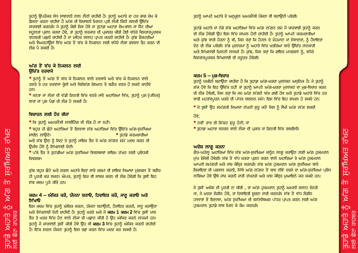ਤੁਹਾਨੂੰ ਉਪਰੋਕਤ ਸੇਧ ਸਾਵਧਾਨੀ ਨਾਲ ਲੈਣੀ ਚਾਹੀਦੀ ਹੈ। ਤੁਹਾਨੂੰ ਅਹਾਤੇ ਦਾ ਹਰ ਭਾਗ ਦੇਖ ਕੇ <mark>ਫੈਸਲਾ ਕਰਨਾ ਚਾਹੀਦਾ ਹੈ ਅੱਗ ਦੀ ਚਿਤਾਵਨੀ ਮਿਲਣ ਪ੍ਰਤੀ ਲੌਕੀ ਕਿੰਨੀ ਜਲਦੀ ੳਿਚੱਤ</mark> ਕਾਰਵਾਈ ਕਰਨਗੇ। ਜੇ ਤੁਹਾਨੂੰ ਕੋਈ ਸ਼ੈਕਾ ਹੋਵੇ ਜਾਂ ਤੁਹਾਡਾ ਅਹਾਤਾ ਦੇਖ-ਭਾਲ ਜਾਂ ਸੌਣ ਦੀਆਂ ਸਹਲਤਾਂ ਪ੍ਰਦਾਨ ਕਰਦਾ ਹੋਵੇ, ਤਾਂ ਤਹਾਨੂੰ ਸਰਕਾਰ ਦੀ ਪ੍ਰਕਾਸ਼ਤ ਕੀਤੀ ਹੋਈ ਵਧੇਰੇ ਵਿਸਤਾਰਪਰਵਕ ਰਾਹਬਰੀ ਪੜਨੀ ਚਾਹੀਦੀ ਹੈ ਜਾਂ ਮਾਹਿਰ ਸਲਾਹ ਪਾਪਤ ਕਰਨੀ ਚਾਹੀਦੀ ਹੈ। ਕੱਝ ਫੈਕਟਰੀਆਂ ਅਤੇ ਵੈਅਰਹਾੳਸਾਂ ਵਿੱਚ ਅੱਗ ਤੋਂ ਬੱਚ ਕੇ ਨਿਕਲਨ ਲਈ ਵਧੇਰੇ ਲੰਬਾ ਫਾਸਲਾ ਤੈਹ ਕਰਨ ਦੀ ਲੋਤ ਪੈ ਸਕਦੀ ਹੈ।

#### ਅੱਗ ਤੋਂ ਬੱਚ ਕੇ ਨਿਕਲਨ ਲਈ **ੳ**ਚਿੱਤ ਦਰਵਾਜੇ

• ਤੁਹਾਨੂੰ ਤੋਂ ਅੱਗ ਤੋਂ ਬੱਚ ਕੇ ਨਿਕਲਨ ਵਾਲੇ ਦਰਵਾਜੇ ਅਤੇ ਬੱਚ ਕੇ ਨਿਕਲਨ ਵਾਲੇ ਰਸਤੇ ਤੇ ਹਰ ਦਰਵਾਜਾ ਕੁੰਜੀ ਅਤੇ ਵਿਸ਼ੇਸ਼ੱਗ ਗਿਆਨ ਤੋ ਬਗੈਰ ਵਰਤ ਹੋ ਸਕਣੇ ਚਾਹੀਦੇ ਹਨ।

• ਜਨਤਾ ਜਾਂ ਲੋਕਾਂ ਦੀ ਵੱਡੀ ਗਿਣਤੀ ਵਿੱਚ ਵਰਤੇ ਜਾਂਦੇ ਅਹਾਤਿਆਂ ਵਿੱਚ, ਤਹਾਨੂੰ ਪਸ਼ (ਪਾਨਿਕ) ਬਾਰਾਂ ਜਾਂ ਪਸ਼ ਪੈਡਾਂ ਦੀ ਲੋੜ ਹੋ ਸਕਦੀ ਹੈ।

## ਵਿਚਾਰਨ ਲਈ ਹੋਰ ਚੀਜਾਂ

- ਕਿ ਤੁਹਾਨੂੰ ਅਮਰਜੈਂਸੀ ਲਾਈਟਿੰਗ ਦੀ ਲੋੜ ਹੈ ਜਾਂ ਨਹੀਂ।
- ਬਹੁਤ ਹੀ ਛੋਟੇ ਅਹਾਤਿਆਂ ਤੋਂ ਇਲਾਵਾ ਸੱਭ ਅਹਾਤਿਆਂ ਵਿੱਚ ਉਚਿੱਤ ਅੱਗ-ਸੁਰੱਖਿਆ  $\bullet$  ਤੁਹਾਡੇ ਕਰਮਚਾਰੀਆਂ ਸਾਈਨ ਲਾਉਣੇ।

ਅਤੇ ਸੱਭ ਉਨ੍ਹਾਂ ਨੂੰ ਜਿਨ੍ਹਾਂ ਤੇ ਤੁਹਾਨੂੰ ਜਾਇਜ਼ ਤੌਰ ਤੇ ਅੱਗ ਲੱਗਣ ਸਮੇਂ ਮਦਦ ਕਰਨ ਦੀ ਉਮੀਦ ਹੋਵੇ ਨੂੰ ਸਿੱਖਲਾਈ ਦੇਣੀ।

● ਪੱਕੇ ਤੌਰ ਤੇ ਤਹਾਡੀਆਂ ਅੱਗ ਸਰੱਖਿਆ ਵਿਵਸਥਾਵਾਂ ਕਾਇਮ ਰੱਖਣ ਲਈ ਪਬੰਧਕੀ ਵਿਵਸਥਾ।

ਕੱਝ ਬਹੁਤ ਛੋਟੇ ਅਤੇ ਸਰਲ ਅਹਾਤੇ ਇਨ੍ਹਾਂ ਸਾਰੇ ਕਦਮਾਂ ਦੀ ਸ਼ਾਇਦ ਜਿਆਦਾ ਮਸ਼ਕਲ ਤੋਂ ਬਗੈਰ ਹੀ ਪਰਤੀ ਕਰ ਸਕਣ। ਐਪਰ, ਤਹਾਨੂੰ ਫਿਰ ਵੀ ਸਾਬਤ ਕਰਨ ਦੀ ਲੋੜ ਹੋਵੇਗੀ ਕਿ ਤੁਸੀਂ ਇਹ ਸੱਭ ਕਦਮ ਪਰੇ ਕੀਤੇ ਹਨ।

#### ਕਦਮ 4 – ਅੰਕਿਤ ਕਰੋ, ਯੋਜਨਾ ਬਣਾਓ, ਹਿਦਾਇਤ ਕਰੋ, ਜਾਣੂ ਕਰਾਓ ਅਤੇ ਸਿੱਖਾਓ

ਇਸ ਕਦਮ ਵਿੱਚ ਤਹਾਨੂੰ ਅੰਕਿਤ ਕਰਨਾ, ਯੋਜਨਾ ਬਣਾਉਣੀ, ਹੈਦਾਇਤ ਕਰਨੀ, ਜਾਣ ਕਰਾਉਣਾ ਅਤੇ ਸਿੱਖਲਾਈ ਦੇਣੀ ਚਾਹੀਦੀ ਹੈ। ਤਹਾਨੂੰ ਖ਼ਤਰੇ ਅਤੇ ਜੋ **ਕਦਮ 1 ਕਦਮ 2** ਵਿੱਚ ਤੁਸੀਂ ਖਾਸ ਤੌਰ ਤੇ ਖਤਰ ਵਿੱਚ ਹੋਣ ਵਾਲੇ ਲੋਕਾਂ ਦੀ ਪਛਾਣ ਕੀਤੀ ਹੋ ਉਹ ਅੰਕਿਤ ਕਰਨੇ ਲਾਜ਼ਮੀ ਹਨ। ਤਹਾਨੰ ਜੋ ਕਾਰਵਾਈ ਤਸੀਂ ਕੀਤੀ ਹੋਵੇ ਉਹ ਵੀ **ਕਦਮ 3** ਵਿੱਚ ਤਹਾਨੰ ਅੰਕਿਤ ਕਰਨੀ ਚਾਹੀਦੀ ਹੈ। ਇੱਕ ਸਰਲ ਯੋਜਨਾ ਤੁਹਾਨੂੰ ਇਸ ਤੜ੍ਹਾਂ ਕਰਨ ਵਿੱਚ ਮਦਦ ਕਰ ਸਕਦੀ ਹੈ।

ਤੁਹਾਨੂੰ ਆਪਣੇ ਅਹਾਤੇ ਦੇ ਅਨੁਕੂਲ ਅਮਰਜੈਂਸੀ ਯੋਜਨਾ ਵੀ ਬਣਾਉਣੀ ਪਵੇਗੀ।

ਤਹਾਡੇ ਅਹਾਤੇ ਜਾਂ ਨੇੜੇ ਸੱਭ ਅਹਾਤਿਆਂ ਵਿੱਚ ਅੱਗ ਲੱਗਣ ਸਮੇ ਜੋ ਕਾਰਵਾਈ ਤਹਾਨੂੰ ਕਰਨ ਦੀ ਲੋੜ ਹੋਵੇਗੀ ਉਹ ਇਸ ਵਿੱਚ ਸ਼ਾਮਲ ਹੋਣੀ ਚਾਹੀਦੀ ਹੈ। ਤਹਾਨੂੰ ਆਪਣੇ ਕਰਮਚਾਰੀਆਂ ਅਤੇ ਕੱਝ ਵਾਰੀ ਹੋਰਨਾਂ ਨੂੰ ਵੀ, ਜਿਸ ਤਰਾਂ ਕਿ ਹੋਟਲ ਦੇ ਮੈਹਮਾਨਾਂ ਜਾਂ ਸੇਵਾਦਾਰਾਂ, ਨੂੰ ਹੈਦਾਇਤਾਂ ਦੇਣ ਦੀ ਲੋੜ ਪਵੇਗੀ। ਸੱਭ ਮਲਾਜ਼ਮਾਂ ਨੂੰ ਅਹਾਤੇ ਵਿੱਚ ਖ਼ਤਰਿਆਂ ਬਾਰੇ ੳਿਚੱਤ ਜਾਣਕਾਰੀ ਅਤੇ ਸਿੱਖਲਾਈ ਮਿਲਣੀ ਲਾਜ਼ਮੀ ਹੈ। ਕੁੱਝ, ਜਿਸ ਤਰ੍ਹਾਂ ਕਿ ਫਾਇਰ ਮਾਰਸ਼ਲਾਂ ਨੂੰ, ਵਧੇਰੇ ਵਿਸਤਾਰਪਰਵਕ ਸਿੱਖਲਾਈ ਦੀ ਜਰਰਤ ਹੋਵੇਗੀ।

#### ਕਦਮ  $5 -$ ਮੜ-ਵਿਚਾਰ

ਤਹਾਨੂੰ ਯਕੀਨੀ ਬਣਾਉਣਾ ਚਾਹੀਦਾ ਹੈ ਕਿ ਤਹਾਡਾ ਅੱਗ-ਖ਼ਤਰਾ ਮਲਾਂਕਣ ਅਧਨਿਕ ਹੈ। ਜੇ ਤਹਾਨੂੰ ਸ਼ੱਕ ਹੋਵੇ ਕਿ ਇਹ ਉਚਿੱਤ ਨਹੀਂ ਤਾਂ ਤੁਹਾਨੂੰ ਆਪਣੇ ਅੱਗ-ਖ਼ਤਰਾ ਮੁਲਾਂਕਣ ਦਾ ਮੁੜ-ਵਿਚਾਰ ਕਰਨ ਦੀ ਲੋੜ ਹੋਵੇਗੀ, ਜਿਸ ਤਰ੍ਹਾਂ ਕਿ ਜਦ ਅੱਗ ਲੱਗਣੋ ਬੱਚ ਗਈ ਹੋਵ ਅਤੇ ਤਹਾਡੇ ਅਹਾਤੇ ਵਿੱਚ ਹਰ ਵਾਰੀ ਮਹਤੱਵਪੂਰਨ ਖ਼ਤਰੇ ਦੀ ਪੱਧਰ ਬਦਲਨ ਸਮੇਂ। ਇਸ ਵਿੱਚ ਇਹ ਸ਼ਾਮਲ ਹੋ ਸਕਦੇ ਹਨ:

● ਜੇ ਤੁਸੀਂ ਉਹ ਸਮੱਗਰੀ ਜਿਆਦਾ ਰੱਖਣੀ ਸ਼ੁਰੂ ਕਰੋਂ ਜਿਸ ਨੂੰ ਸੌਖੀ ਅੱਗ ਲੱਗ ਸਕਦੀ

#### ਹੋਵੇ;

- ਨਵੀਂ ਰਾਤ ਦੀ ਸ਼ਿੱਫਟ ਸ਼ੁਰੂ ਹੋਣੀ; ਜਾਂ
- ਤਹਾਡਾ ਅਹਾਤਾ ਵਰਤਣ ਵਾਲੇ ਲੋਕਾ ਦੀ ਪ੍ਰਕਾਰ ਜਾਂ ਗਿਣਤੀ ਵਿੱਚ ਤਬਦੀਲੀ।

#### ਅਦੇਸ਼ ਲਾਗ ਕਰਨਾ

ਗੈਰ-ਘਰੇਲੂ ਅਹਾਤਿਆਂ ਵਿੱਚ ਸੱਭ ਅੱਗ-ਸੁਰੱਖਿਆ ਕਾਨੂੰਨ ਲਾਗੂ ਕਰਾਉਣ ਲਈ ਅੱਗ ਹੁਕਮਰਾਨ ਮੱਖ ਏਜੰਸੀ ਹੋਵੇਗੀ। ਸੱਭ ਤੋਂ ਵੱਧ ਖ਼ਤਰਾ ਪਗਟ ਕਰਨ ਵਾਲੇ ਅਹਾਤਿਆਂ ਤੇ ਅੱਗ ਹਕਮਰਾਨ ਆਪਣੀ ਸਮੱਗਰੀ ਅਤੇ ਜਾਂਚ ਕੇਦ੍ਰਿਤ ਕਰਨਗੇ। ਸੱਭ ਅੱਗ ਹੁਕਮਰਾਨ ਅੱਗ ਸੁਰੱਖਿਆ ਬਾਰੇ ਸ਼ਿਕਾਇਤਾਂ ਦੀ ਪੜਤਾਲ ਕਰਨੀ, ਜਿੱਥੇ ਅੱਗ ਲੱਗਣ ਤੋਂ ਬਾਦ ਨੀਵੇਂ ਦਰਜੇ ਦਾ ਅੱਗ-ਸਰੱਖਿਆ ਪਬੰਧ ਲੱਭਿਆ ਹੋਵੇ ਉਥੇ ਜਾਂਚ ਕਰਨੀ ਜਾਰੀ ਰੱਖਣਗੇ ਅਤੇ ਖਾਸ ਕੇਦਿਤ ਮਆਇਨੇ ਕਰ ਸਕਦੇ ਹਨ।

ਜੇ ਤੁਸੀਂ ਅਦੇਸ਼ ਦੀ ਪਰਤੀ ਨਾ ਕੀਤੀ , ਤਾਂ ਅੱਗ ਹਕਮਰਾਨ ਤੁਹਾਨੂੰ ਅਮਲੀ ਸਲਾਹ ਦੇਣਗੇ ਜਾਂ, ਜੇ ਖ਼ਤਰਾ ਸੰਗੀਨ ਹੋਵੇ, ਤਾਂ ਰਿਵਾਇਤੀ ਸੂਚਨਾ ਜਾਰੀ ਕਰਨਗੇ। ਸੱਭ ਤੋਂ ਵੱਧ ਸੰਗੀਨ ਹਾਲਾਤਾਂ ਤੋਂ ਇਲਾਵਾ, ਅੱਗ ਸੁਰੱਖਿਆ ਦੀ ਤਸੱਲੀਬਖ਼ਸ਼ ਪੱਧਰ ਪ੍ਰਾਪਤ ਕਰਨ ਲਈ ਅੱਗ ਹਕਮਰਾਨ ਤਹਾਡੇ ਸਾਥ ਮਿਲ ਕੇ ਕੈਮ ਕਰਨਗੇ।

**RAC**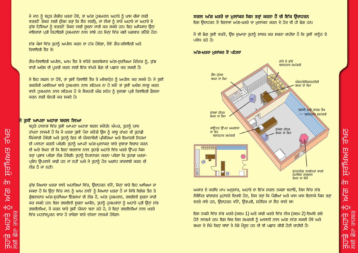ਜੇ ਜਾਨ ਨੂੰ ਬਹੁਤ ਗੰਭੀਰ ਖ਼ਤਰਾ ਹੋਵੇ, ਤਾਂ ਅੱਗ ਹਕਮਰਾਨ ਅਹਾਤੇ ਨੂੰ ਖ਼ਾਸ ਚੀਜ਼ਾਂ ਲਈ ਵਰਤਣੋਂ ਰੋਕਣ ਲਈ (ਜਿਸ ਤਰ੍ਹਾਂ ਕਿ ਸੌਣ ਲਈ), ਜਾਂ ਲੋਕਾਂ ਨੂੰ ਸਾਰੇ ਅਹਾਤੇ ਜਾਂ ਅਹਾਤੇ ਦੇ ਕੁੱਝ ਹਿੱਸਿਆਂ ਨੂੰ ਵਰਤਣੋਂ ਰੋਕਣ ਲਈ ਸੂਚਨਾ ਜਾਰੀ ਕਰ ਸਕਦੇ ਹਨ। ਇਹ ਅਧਿਕਾਰ ਉਨ੍ਹਾਂ ਜਾਇਦਾਦਾਂ ਪਤੀ ਰਿਹਾਇਸ਼ੀ ਹਕਮਰਾਨਾਂ ਨਾਲ ਸਾਂਝੇ ਹਨ ਜਿਨ੍ਹਾਂ ਵਿੱਚ ਕਈ ਘੜਬਾਰ ਰਹਿੰਦੇ ਹੋਣ।

ਸੱਭ ਕੇਸਾਂ ਵਿੱਚ ਤਹਾਨੂੰ ਅਪੀਲ ਕਰਨ ਦਾ ਹੱਕ ਹੋਵੇਗਾ, ਦੋਵੇਂ ਗੈਰ-ਰਵਿਾਇਤੀ ਅਤੇ ਰਿਵਾਇਤੀ ਤੌਰ ਤੇ।

ਗੈਰ-ਰਿਵਾਇਤੀ ਅਪੀਲ, ਆਮ ਤੌਰ ਤੇ ਵਧੇਰੇ ਤਜ਼ਰਬੇਕਾਰ ਅੱਗ-ਸੁਰੱਖਿਆ ਮੈਨੇਜਰ ਨੂੰ, ਕੁੱਝ ਵਾਰੀ ਅਦੇਸ਼ ਦੀ ਪੂਰਤੀ ਕਰਨ ਲਈ ਇੱਕ ਵੱਖਰੇ ਢੰਗ ਦੀ ਪਛਾਣ ਕਰ ਸਕਦੀ ਹੈ।

ਜੇ ਇਹ ਸਫ਼ਲ ਨਾ ਹੋਵੇ, ਤਾਂ ਤੁਸੀਂ ਰਿਵਾਇੀ ਤੌਰ ਤੇ ਮਜਿਸਟ੍ਰੇਟ ਨੂੰ ਅਪੀਲ ਕਰ ਸਕਦੇ ਹੋ। ਜੇ ਤੁਸੀਂ ਤਕਨੀਕੀ ਮਸਲਿਆਂ ਬਾਰੇ ਹਕਮਰਾਨ ਨਾਲ ਸਹਿਮਤ ਨਾ ਹੋ ਸਕੋਂ ਤਾਂ ਤਸੀਂ ਅਦੇਸ਼ ਲਾਗ ਕਰਨ ਵਾਲੇ ਹੁਕਮਰਾਨ ਨਾਲ ਸਹਿਮਤ ਹੋ ਕੇ ਸੈਕਟਰੀ ਔਫ ਸਟੇਟ ਨੂੰ ਸੁਲਝਾ ਪ੍ਰਤੀ ਰਿਵਾਇਤੀ ਫੈਸਲਾ ਕਰਨ ਲਈ ਬੇਨਤੀ ਕਰ ਸਕਦੇ ਹੋ।

#### ਤਸੀਂ ਆਪਣਾ ਅਹਾਤਾ ਬਦਲ ਲਿਆ

ਰੱਖਣ

<u>ਸਰੱਖਿਅਤ</u>

ζ'n

可文

 $c$   $|C||$ 

<u>ਤੁਹਾਡੇ ਅਹਾਤੇ</u><br>ਇਹਮ⁄ ਓਾਠ<u>ਤ</u> **ਛੋਟਾ ਰਾਹਬਰ** 

ਬਹਤੇ ਹਾਲਾਤਾਂ ਵਿੱਚ ਤੁਸੀਂ ਆਪਣਾ ਅਹਾਤਾ ਬਦਲ ਸਕੋਂਗੇ। ਐਪਰ, ਤਹਾਨੂੰ ਯਾਦ ਰੱਖਣਾ ਲਾਜ਼ਮੀ ਹੈ ਕਿ ਜੋ ਖ਼ਤਰਾ ਤੁਸੀਂ ਪੈਦਾ ਕਰੋਂਗੇ ਉਸ ਨੂੰ ਕਾਬੂ ਰੱਖਣ ਦੀ ਤੁਹਾਡੀ ਜਿੰਮੇਵਾਰੀ ਹੋਵੇਗੀ ਅਤੇ ਤੁਹਾਨੂੰ ਫਿਰ ਵੀ ਯੋਜਨਾਬੰਦੀ ਪ੍ਰਕਿਰਿਆ ਅਤੇ ਇਮਾਰਤੀ ਨਿਯਮਾਂ ਦੀ ਪਾਲਣਾ ਕਰਨੀ ਪਵੇਗੀ। ਤਹਾਨੂੰ ਆਪਣੇ ਅੱਗ-ਮਲਾਂਕਣ ਬਾਰੇ ਦੁਬਾਰਾ ਵਿਚਾਰ ਕਰਨ ਦੀ ਅਤੇ ਦੇਖਣ ਦੀ ਕਿ ਇਨ੍ਹਾਂ ਬਦਲਾਵ ਨਾਲ ਤੁਹਾਡੇ ਅਹਾਤੇ ਵਿੱਚ ਖ਼ਤਰੇ ਉੱਪਰ ਕਿਸ ਤਰ੍ਹਾਂ ਪ੍ਰਭਾਵ ਪਵੇਗਾ ਲੋੜ ਹੋਵੇਗੀ। ਤੁਹਾਨੂੰ ਨਿਰਧਾਰਨ ਕਰਨਾ ਪਵੇਗਾ ਕਿ ਤੁਹਾਡਾ ਖ਼ਤਰਾ-ਪ੍ਰਬੰਧ ਉਪਰਾਲੇ ਕਾਫ਼ੀ ਹਨ ਜਾਂ ਨਹੀਂ ਅਤੇ ਜੇ ਤੁਹਾਨੂੰ ਹੋਰ ਅਗਾਂਹ ਕਾਰਵਾਈ ਕਰਨ ਦੀ ਲੋਤ ਹੈ ਜਾਂ ਨਹੀਂ।

ਕੱਝ ਜਿਆਦਾ ਖ਼ਤਰਾ ਵਾਲੇ ਅਹਾਤਿਆਂ ਵਿੱਚ, ਉਦਾਹਰਨ ਵੱਜੋਂ, ਜਿਨਾਂ ਬਾਰੇ ਇਹ ਆਖਿਆ ਜਾ ਸਕਦਾ ਹੈ ਕਿ ਉਨ੍ਹਾਂ ਵਿੱਚ ਜਾਨ ਨੂੰ ਆਮ ਨਾਲੋਂ ਨੂੰ ਜਿਆਦਾ ਖ਼ਤਰਾ ਹੈ ਜਾਂ ਜਿੱਥੇ ਵਿਸ਼ੇਸ਼ ਤੌਰ ਤੇ ਗੰਝਲਦਾਰ ਅੱਗ-ਸਰੱਖਿਆ ਇੰਤਜ਼ਾਮਾਂ ਦੀ ਲੋੜ ਹੈ, ਅੱਗ ਹਕਮਰਾਨ, ਤਬਦੀਲੀ ਸਚਨਾ ਜਾਰੀ ਕਰ ਸਕਦੇ ਹਨ। ਇਸ ਤਬਦੀਲੀ ਸਚਨਾ ਅਧੀਨ, ਤਹਾਨੂੰ ਹਕਮਰਾਨਾਂ ਨੂੰ ਅਹਾਤੇ ਪ੍ਰਤੀ ਉਨ੍ਹਾਂ ਸੱਭ ਤਬਦੀਲੀਆਂ, ਜੋ ਕਰਨ ਬਾਰੇ ਤਸੀਂ ਯੋਜਨਾ ਬਣਾ ਰਹੇ ਹੋ, ਜੇ ਇਨ੍ਹਾਂ ਤਬਦੀਲੀਆਂ ਨਾਲ ਖ਼ਤਰੇ ਵਿੱਚ ਮਹਤੱਵਪਰਨ ਵਾਧਾ ਹੋ ਜਾਵੇਗਾ ਬਾਰੇ ਦੱਸਣਾ ਲਾਜ਼ਮੀ ਹੋਵੇਗਾ।

ਸਰਲ ਅੱਗ ਖ਼ਤਰੇ ਦਾ ਮਲਾਂਕਣ ਕਿਸ ਤਰਾਂ ਕਰਨਾ ਹੈ ਦੀ ਇੱਕ ਉਦਾਹਰਨ

ਇਸ ੳਦਾਹਰਨ ਤੋਂ ਇਲਾਵਾ ਅੱਗ-ਖ਼ਤਰੇ ਦਾ ਮਲਾਂਕਣ ਕਰਨ ਦੇ ਹੋਰ ਵੀ ਹੀ ਢੰਗ ਹਨ।

ਜੋ ਵੀ ਢੰਗ ਤੁਸੀਂ ਵਰਤੋਂ, ਉਸ ਦੁਆਰਾ ਤੁਹਾਨੂੰ ਸਾਬਤ ਕਰ ਸਕਣਾ ਚਾਹੀਦਾ ਹੈ ਕਿ ਤੁਸੀਂ ਕਾਨੂੰਨ ਦੇ ਪਬੰਧ ਰਹੇ ਹੋ।

#### ਅੱਗ-ਖ਼ਤਰਾ ਮਲਾਂਕਣ ਤੋਂ ਪਹਿਲਾਂ



ਅਕਾਰ ਦੇ ਕਰਬਿ ਮਾਪ ਅਨੁਸਾਰ, ਅਹਾਤੇ ਦਾ ਇੱਕ ਸਰਲ ਨਕਸ਼ਾ ਬਣਾਓ, ਜਿਸ ਵਿੱਚ ਸੱਭ ਮੈਬੰਧਿਤ ਢਾਂਚਾਗਤ ਮੁਹਾਂਦਰੇ ਦਿਖਾਏ ਹੋਣ, ਜਿਸ ਤਰ੍ਹਾਂ ਕਿ ਪੌੜੀਆਂ ਅਤੇ ਖਾਸ ਖਾਸ ਇਲਾਕੇ ਕਿਸ ਤਰ੍ਹਾਂ ਵਰਤੇ ਜਾਂਦੇ ਹਨ. ਉਦਾਹਰਨ ਵੱਜੋਂ. ਉਤਪਤੀ. ਸਟੋਰਿਜ ਜਾਂ ਸੌਣ ਵਾਲੇ ਥਾਂ।

ਇਸ ਨਕਸ਼ੇ ਵਿੱਚ ਸੱਭ ਖ਼ਤਰੇ (ਕਦਮ 1) ਅਤੇ ਕਾਫ਼ੀ ਖ਼ਤਰੇ ਵਿੱਚ ਲੋਕ (ਕਦਮ 2) ਦਿਖਾਏ ਗਏ ਹੋਣੇ ਲਾਜ਼ਮੀ ਹਨ। ਇਸ ਵਿਚ ਜਿਸ ਸਮਗਰੀ ਨੂੰ ਆਸਾਨੀ ਨਾਲ ਅੱਗ ਲੱਗ ਸਕਦੀ ਹੋਵੇ ਅਤੇ ਭਖ਼ਣ ਦੇ ਸੋਮੇ ਕਿਨ੍ਹਾਂ ਥਾਂਵਾਂ ਤੇ ਨੇੜੇ ਮੌਜੂਦ ਹਨ ਦੀ ਵੀ ਪਛਾਣ ਕੀਤੀ ਹੋਣੀ ਚਾਹੀਦੀ ਹੈ।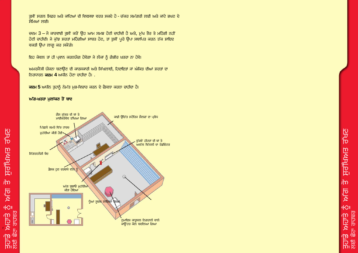ਤਸੀਂ ਸਰਲ ਸਿਫ਼ਰ ਅਤੇ ਕਾਂਟਿਆਂ ਦੀ ਵਿਵਸਥਾ ਵਰਤ ਸਕਦੇ ਹੋ - ਚੱਕਰ ਸਮੱਗਰੀ ਲਈ ਅਤੇ ਕਾਂਟੇ ਭਖਣ ਦੇ ਸੋਮਿਆਂ ਲਈ।

ਚਦਮ 3 – ਜੋ ਕਾਰਵਾਈ ਤਸੀਂ ਕਰੋਂ ਉਹ ਆਮ ਸਮਝ ਹੋਣੀ ਚਾਹੀਦੀ ਹੈ ਅਤੇ, ਮੱਖ ਤੌਰ ਤੇ ਮਹਿੰਗੀ ਨਹੀਂ ਹੋਣੀ ਚਾਹੀਦੀ। ਜੇ ਕੁੱਝ ਸ਼ਰਤਾਂ ਮਹਿੰਗੀਆਂ ਸਾਬਤ ਹੋਣ, ਤਾਂ ਤੁਸੀਂ ਪੂਰੇ ਉਪਾ ਸਥਾਪਿਤ ਕਰਨ ਤੱਕ ਸ਼ਾਇਦ ਵਕਤੀ ਉਪਾ ਲਾਗੂ ਕਰ ਸਕੋਂਗੇ।

ਇਹ ਕੇਵਲ ਤਾਂ ਹੀ ਪ੍ਰਵਾਨ ਕਰਨਯੋਗ ਹੋਵੇਗਾ ਜੇ ਲੋਕਾਂ ਨੂੰ ਗੰਭੀਰ ਖ਼ਤਰਾ ਨਾ ਹੋਵੇ।

ਅਮਰਜੈਂਸੀ ਯੋਜਨਾ ਬਣਾਉਣ ਦੀ ਕਾਰਜਕਾਰੀ ਅਤੇ ਸਿੱਖਲਾਈ, ਹਿਦਾਇਤਾਂ ਜਾਂ ਅੰਕਿਤ ਦੀਆਂ ਸ਼ਰਤਾਂ ਦਾ ਨਿਰਧਾਰਨ **ਕਦਮ 4** ਅਧੀਨ ਹੋਣਾ ਚਾਹੀਦਾ ਹੈ। .

ਕਦਮ 5 ਅਧੀਨ ਤੁਹਾਨੂੰ ਨੇਮੱਤ ਮੁੜ-ਵਿਚਾਰ ਕਰਨ ਦੇ ਫੈਸਲਾ ਕਰਨਾ ਚਾਹੀਦਾ ਹੈ।

### ਅੱਗ-ਖ਼ਤਰਾ ਮੁਲਾਂਕਣ ਤੋਂ ਬਾਦ

<u>ਤਸਰੂ ਸਾਸਪ੍ਰਸਿੱਧ</u>

血

**IPK** 

 $c$  $|C||$ 

ਨਾਡੇ ਅਹਾਂਤੇ ਨੂੰ<br>ਨੂੰ ਇਹਮ⁄ਪ ਉਹਨੂੰ